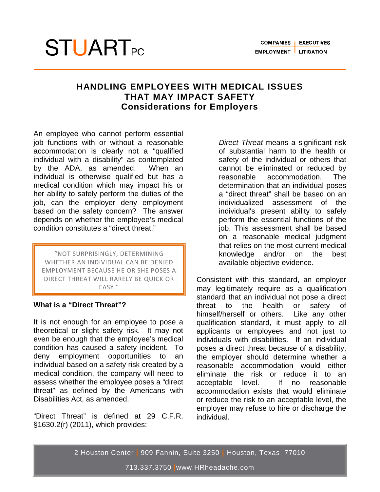# **STUART**<sub>PC</sub>

# **HANDLING EMPLOYEES WITH MEDICAL ISSUES THAT MAY IMPACT SAFETY Considerations for Employers**

An employee who cannot perform essential job functions with or without a reasonable accommodation is clearly not a "qualified individual with a disability" as contemplated by the ADA, as amended. When an individual is otherwise qualified but has a medical condition which may impact his or her ability to safely perform the duties of the job, can the employer deny employment based on the safety concern? The answer depends on whether the employee's medical condition constitutes a "direct threat."

"NOT SURPRISINGLY, DETERMINING WHETHER AN INDIVIDUAL CAN BE DENIED EMPLOYMENT BECAUSE HE OR SHE POSES A DIRECT THREAT WILL RARELY BE QUICK OR EASY."

## **What is a "Direct Threat"?**

It is not enough for an employee to pose a theoretical or slight safety risk. It may not even be enough that the employee's medical condition has caused a safety incident. To deny employment opportunities to an individual based on a safety risk created by a medical condition, the company will need to assess whether the employee poses a "direct threat" as defined by the Americans with Disabilities Act, as amended.

"Direct Threat" is defined at 29 C.F.R. §1630.2(r) (2011), which provides:

*Direct Threat* means a significant risk of substantial harm to the health or safety of the individual or others that cannot be eliminated or reduced by reasonable accommodation. The determination that an individual poses a "direct threat" shall be based on an individualized assessment of the individual's present ability to safely perform the essential functions of the job. This assessment shall be based on a reasonable medical judgment that relies on the most current medical knowledge and/or on the best available objective evidence.

Consistent with this standard, an employer may legitimately require as a qualification standard that an individual not pose a direct threat to the health or safety of himself/herself or others. Like any other qualification standard, it must apply to all applicants or employees and not just to individuals with disabilities. If an individual poses a direct threat because of a disability, the employer should determine whether a reasonable accommodation would either eliminate the risk or reduce it to an acceptable level. If no reasonable accommodation exists that would eliminate or reduce the risk to an acceptable level, the employer may refuse to hire or discharge the individual.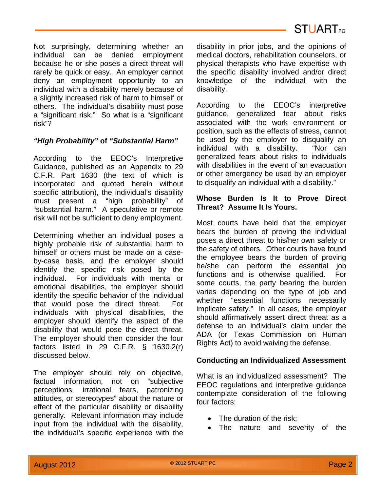Not surprisingly, determining whether an individual can be denied employment because he or she poses a direct threat will rarely be quick or easy. An employer cannot deny an employment opportunity to an individual with a disability merely because of a slightly increased risk of harm to himself or others. The individual's disability must pose a "significant risk." So what is a "significant risk"?

## *"High Probability"* **of** *"Substantial Harm"*

According to the EEOC's Interpretive Guidance, published as an Appendix to 29 C.F.R. Part 1630 (the text of which is incorporated and quoted herein without specific attribution), the individual's disability must present a "high probability" of "substantial harm." A speculative or remote risk will not be sufficient to deny employment.

Determining whether an individual poses a highly probable risk of substantial harm to himself or others must be made on a caseby-case basis, and the employer should identify the specific risk posed by the individual. For individuals with mental or emotional disabilities, the employer should identify the specific behavior of the individual that would pose the direct threat. For individuals with physical disabilities, the employer should identify the aspect of the disability that would pose the direct threat. The employer should then consider the four factors listed in 29 C.F.R. § 1630.2(r) discussed below.

The employer should rely on objective, factual information, not on "subjective perceptions, irrational fears, patronizing attitudes, or stereotypes" about the nature or effect of the particular disability or disability generally. Relevant information may include input from the individual with the disability, the individual's specific experience with the disability in prior jobs, and the opinions of medical doctors, rehabilitation counselors, or physical therapists who have expertise with the specific disability involved and/or direct knowledge of the individual with the disability.

According to the EEOC's interpretive guidance, generalized fear about risks associated with the work environment or position, such as the effects of stress, cannot be used by the employer to disqualify an individual with a disability. "Nor can generalized fears about risks to individuals with disabilities in the event of an evacuation or other emergency be used by an employer to disqualify an individual with a disability."

#### **Whose Burden Is It to Prove Direct Threat? Assume It Is Yours.**

Most courts have held that the employer bears the burden of proving the individual poses a direct threat to his/her own safety or the safety of others. Other courts have found the employee bears the burden of proving he/she can perform the essential job functions and is otherwise qualified. For some courts, the party bearing the burden varies depending on the type of job and whether "essential functions necessarily implicate safety." In all cases, the employer should affirmatively assert direct threat as a defense to an individual's claim under the ADA (or Texas Commission on Human Rights Act) to avoid waiving the defense.

#### **Conducting an Individualized Assessment**

What is an individualized assessment? The EEOC regulations and interpretive guidance contemplate consideration of the following four factors:

- The duration of the risk:
- The nature and severity of the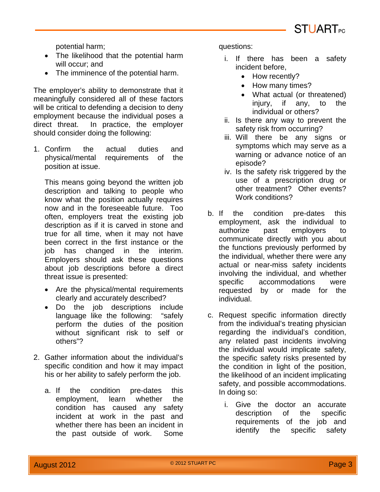

potential harm;

- The likelihood that the potential harm will occur; and
- The imminence of the potential harm.

The employer's ability to demonstrate that it meaningfully considered all of these factors will be critical to defending a decision to deny employment because the individual poses a direct threat. In practice, the employer should consider doing the following:

1. Confirm the actual duties and physical/mental requirements of the position at issue.

This means going beyond the written job description and talking to people who know what the position actually requires now and in the foreseeable future. Too often, employers treat the existing job description as if it is carved in stone and true for all time, when it may not have been correct in the first instance or the job has changed in the interim. Employers should ask these questions about job descriptions before a direct threat issue is presented:

- Are the physical/mental requirements clearly and accurately described?
- Do the job descriptions include language like the following: "safely perform the duties of the position without significant risk to self or others"?
- 2. Gather information about the individual's specific condition and how it may impact his or her ability to safely perform the job.
	- a. If the condition pre-dates this employment, learn whether the condition has caused any safety incident at work in the past and whether there has been an incident in the past outside of work. Some

questions:

- i. If there has been a safety incident before,
	- How recently?
	- How many times?
	- What actual (or threatened) iniury, if any, to the individual or others?
- ii. Is there any way to prevent the safety risk from occurring?
- iii. Will there be any signs or symptoms which may serve as a warning or advance notice of an episode?
- iv. Is the safety risk triggered by the use of a prescription drug or other treatment? Other events? Work conditions?
- b. If the condition pre-dates this employment, ask the individual to authorize past employers to communicate directly with you about the functions previously performed by the individual, whether there were any actual or near-miss safety incidents involving the individual, and whether specific accommodations were requested by or made for the individual.
- c. Request specific information directly from the individual's treating physician regarding the individual's condition, any related past incidents involving the individual would implicate safety, the specific safety risks presented by the condition in light of the position, the likelihood of an incident implicating safety, and possible accommodations. In doing so:
	- i. Give the doctor an accurate description of the specific requirements of the job and identify the specific safety